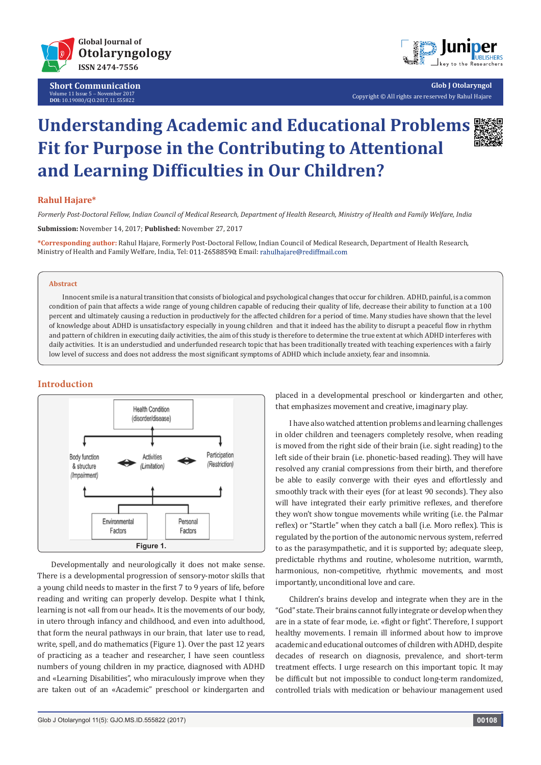

**Short Communication** Volume 11 Issue 5 - November 2017 **DOI:** [10.19080/GJO.2017.11.555822](http://dx.doi.org/10.19080/GJO.2017.11.555822)



**Glob J Otolaryngol** Copyright © All rights are reserved by Rahul Hajare

# **Understanding Academic and Educational Problems Fit for Purpose in the Contributing to Attentional and Learning Difficulties in Our Children?**

## **Rahul Hajare\***

*Formerly Post-Doctoral Fellow, Indian Council of Medical Research, Department of Health Research, Ministry of Health and Family Welfare, India*

**Submission:** November 14, 2017; **Published:** November 27, 2017

**\*Corresponding author:** Rahul Hajare, Formerly Post-Doctoral Fellow, Indian Council of Medical Research, Department of Health Research, Ministry of Health and Family Welfare, India, Tel: 011-26588590; Email: rahulhajare@rediffmail.com

### **Abstract**

Innocent smile is a natural transition that consists of biological and psychological changes that occur for children. ADHD, painful, is a common condition of pain that affects a wide range of young children capable of reducing their quality of life, decrease their ability to function at a 100 percent and ultimately causing a reduction in productively for the affected children for a period of time. Many studies have shown that the level of knowledge about ADHD is unsatisfactory especially in young children and that it indeed has the ability to disrupt a peaceful flow in rhythm and pattern of children in executing daily activities, the aim of this study is therefore to determine the true extent at which ADHD interferes with daily activities. It is an understudied and underfunded research topic that has been traditionally treated with teaching experiences with a fairly low level of success and does not address the most significant symptoms of ADHD which include anxiety, fear and insomnia.

## **Introduction**



Developmentally and neurologically it does not make sense. There is a developmental progression of sensory-motor skills that a young child needs to master in the first 7 to 9 years of life, before reading and writing can properly develop. Despite what I think, learning is not «all from our head». It is the movements of our body, in utero through infancy and childhood, and even into adulthood, that form the neural pathways in our brain, that later use to read, write, spell, and do mathematics (Figure 1). Over the past 12 years of practicing as a teacher and researcher, I have seen countless numbers of young children in my practice, diagnosed with ADHD and «Learning Disabilities", who miraculously improve when they are taken out of an «Academic" preschool or kindergarten and

placed in a developmental preschool or kindergarten and other, that emphasizes movement and creative, imaginary play.

I have also watched attention problems and learning challenges in older children and teenagers completely resolve, when reading is moved from the right side of their brain (i.e. sight reading) to the left side of their brain (i.e. phonetic-based reading). They will have resolved any cranial compressions from their birth, and therefore be able to easily converge with their eyes and effortlessly and smoothly track with their eyes (for at least 90 seconds). They also will have integrated their early primitive reflexes, and therefore they won't show tongue movements while writing (i.e. the Palmar reflex) or "Startle" when they catch a ball (i.e. Moro reflex). This is regulated by the portion of the autonomic nervous system, referred to as the parasympathetic, and it is supported by; adequate sleep, predictable rhythms and routine, wholesome nutrition, warmth, harmonious, non-competitive, rhythmic movements, and most importantly, unconditional love and care.

Children's brains develop and integrate when they are in the "God" state. Their brains cannot fully integrate or develop when they are in a state of fear mode, i.e. «fight or fight". Therefore, I support healthy movements. I remain ill informed about how to improve academic and educational outcomes of children with ADHD, despite decades of research on diagnosis, prevalence, and short-term treatment effects. I urge research on this important topic. It may be difficult but not impossible to conduct long-term randomized, controlled trials with medication or behaviour management used